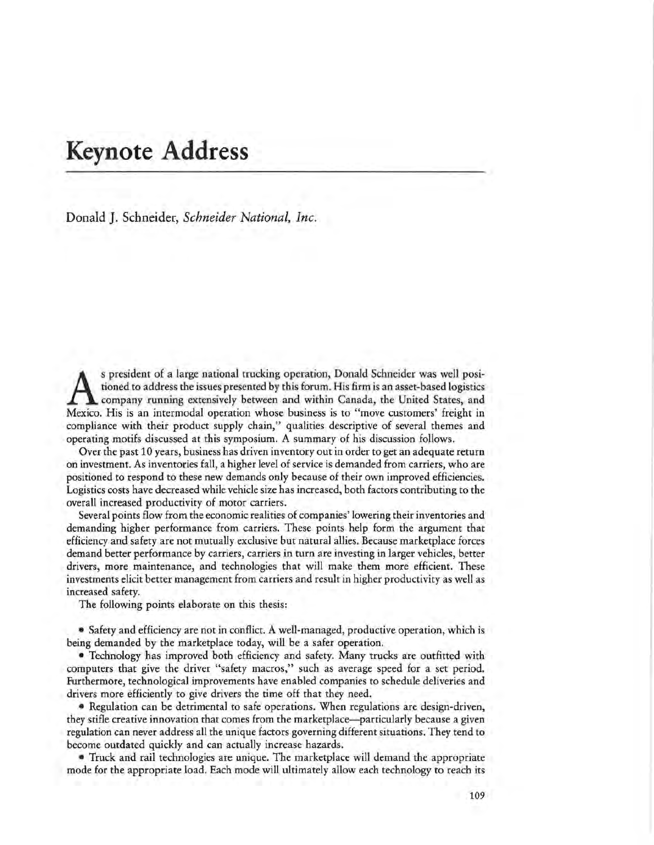## **Keynote Address**

Donald J. Schneider, *Schneider National, Inc.* 

S president of a large national trucking operation, Donald Schneider was well positioned to address the issues presented by this forum. His firm is an asset-based logistics company running extensively between and within Ca tioned to address the issues presented by this forum. His firm is an asset-based logistics company running extensively between and within Canada, the United States, and Mexico. His is an intermodal operation whose business is to "move customers' freight in compliance with their product supply chain," qualities descriptive of several themes and operating motifs discussed at this symposium. A summary of his discussion follows.

Over the past 10 years, business has driven inventory out in order to get an adequate return on investment. As inventories fall, a higher level of service is demanded from carriers, who are positioned to respond to these new demands only because of their own improved efficiencies. Logistics costs have decreased while vehicle size has increased, both factors contributing to the overall increased productivity of motor carriers.

Several points flow from the economic realities of companies' lowering their inventories and demanding higher performance from carriers. These points help form the argument that efficiency and safety are not mutually exclusive but natural allies. Because marketplace forces demand better performance by carriers, carriers in turn are investing in larger vehicles, better drivers, more maintenance, and technologies that will make them more efficient. These investments elicit better management from carriers and result in higher productivity as well as increased safety.

The following points elaborate on this thesis:

• Safety and efficiency are not in conflict. A well-managed, productive operation, which is being demanded by the marketplace today, will be a safer operation.

• Technology has improved both efficiency and safety. Many trucks are outfitted with computers that give the driver "safety macros," such as average speed for a set period. Furthermore, technological improvements have enabled companies to schedule deliveries and drivers more efficiently to give drivers the time off that they need.

• Regulation can be detrimental to safe operations. When regulations are design-driven, they stifle creative innovation that comes from the marketplace-particularly because a given regulation can never address all the unique factors governing different situations. They tend to become outdated quickly and can actually increase hazards.

• Truck and rail technologies are unique. The marketplace will demand the appropriate mode for the appropriate load. Each mode will ultimately allow each technology to reach its